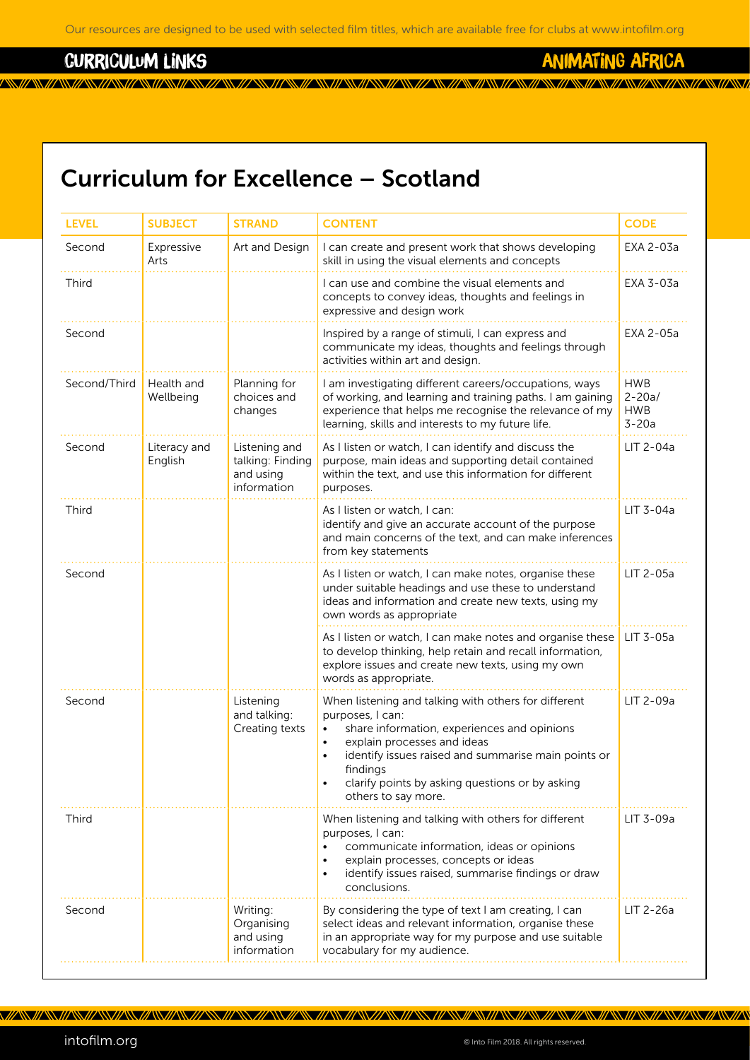<u>a kwa matu wa wakazi wa katika wa wakazi wa wakazi wa wakazi wa wakazi wa wakazi wa wakazi wa wakazi wa wakazi</u>

#### curriculum links

animating africa

# Curriculum for Excellence – Scotland

| <b>LEVEL</b> | <b>SUBJECT</b>          | <b>STRAND</b>                                                 | <b>CONTENT</b>                                                                                                                                                                                                                                                                                                   | <b>CODE</b>                                       |
|--------------|-------------------------|---------------------------------------------------------------|------------------------------------------------------------------------------------------------------------------------------------------------------------------------------------------------------------------------------------------------------------------------------------------------------------------|---------------------------------------------------|
| Second       | Expressive<br>Arts      | Art and Design                                                | I can create and present work that shows developing<br>skill in using the visual elements and concepts                                                                                                                                                                                                           | EXA 2-03a                                         |
| Third        |                         |                                                               | I can use and combine the visual elements and<br>concepts to convey ideas, thoughts and feelings in<br>expressive and design work                                                                                                                                                                                | EXA 3-03a                                         |
| Second       |                         |                                                               | Inspired by a range of stimuli, I can express and<br>communicate my ideas, thoughts and feelings through<br>activities within art and design.                                                                                                                                                                    | EXA 2-05a                                         |
| Second/Third | Health and<br>Wellbeing | Planning for<br>choices and<br>changes                        | I am investigating different careers/occupations, ways<br>of working, and learning and training paths. I am gaining<br>experience that helps me recognise the relevance of my<br>learning, skills and interests to my future life.                                                                               | <b>HWB</b><br>$2 - 20a/$<br><b>HWB</b><br>$3-20a$ |
| Second       | Literacy and<br>English | Listening and<br>talking: Finding<br>and using<br>information | As I listen or watch, I can identify and discuss the<br>purpose, main ideas and supporting detail contained<br>within the text, and use this information for different<br>purposes.                                                                                                                              | LIT 2-04a                                         |
| Third        |                         |                                                               | As I listen or watch, I can:<br>identify and give an accurate account of the purpose<br>and main concerns of the text, and can make inferences<br>from key statements                                                                                                                                            | LIT 3-04a                                         |
| Second       |                         |                                                               | As I listen or watch, I can make notes, organise these<br>under suitable headings and use these to understand<br>ideas and information and create new texts, using my<br>own words as appropriate                                                                                                                | LIT 2-05a                                         |
|              |                         |                                                               | As I listen or watch, I can make notes and organise these<br>to develop thinking, help retain and recall information,<br>explore issues and create new texts, using my own<br>words as appropriate.                                                                                                              | LIT 3-05a                                         |
| Second       |                         | Listening<br>and talking:<br>Creating texts                   | When listening and talking with others for different<br>purposes, I can:<br>share information, experiences and opinions<br>explain processes and ideas<br>identify issues raised and summarise main points or<br>$\bullet$<br>findings<br>clarify points by asking questions or by asking<br>others to say more. | LIT 2-09a                                         |
| Third        |                         |                                                               | When listening and talking with others for different<br>purposes, I can:<br>communicate information, ideas or opinions<br>explain processes, concepts or ideas<br>$\bullet$<br>identify issues raised, summarise findings or draw<br>$\bullet$<br>conclusions.                                                   | LIT 3-09a                                         |
| Second       |                         | Writing:<br>Organising<br>and using<br>information            | By considering the type of text I am creating, I can<br>select ideas and relevant information, organise these<br>in an appropriate way for my purpose and use suitable<br>vocabulary for my audience.                                                                                                            | LIT 2-26a                                         |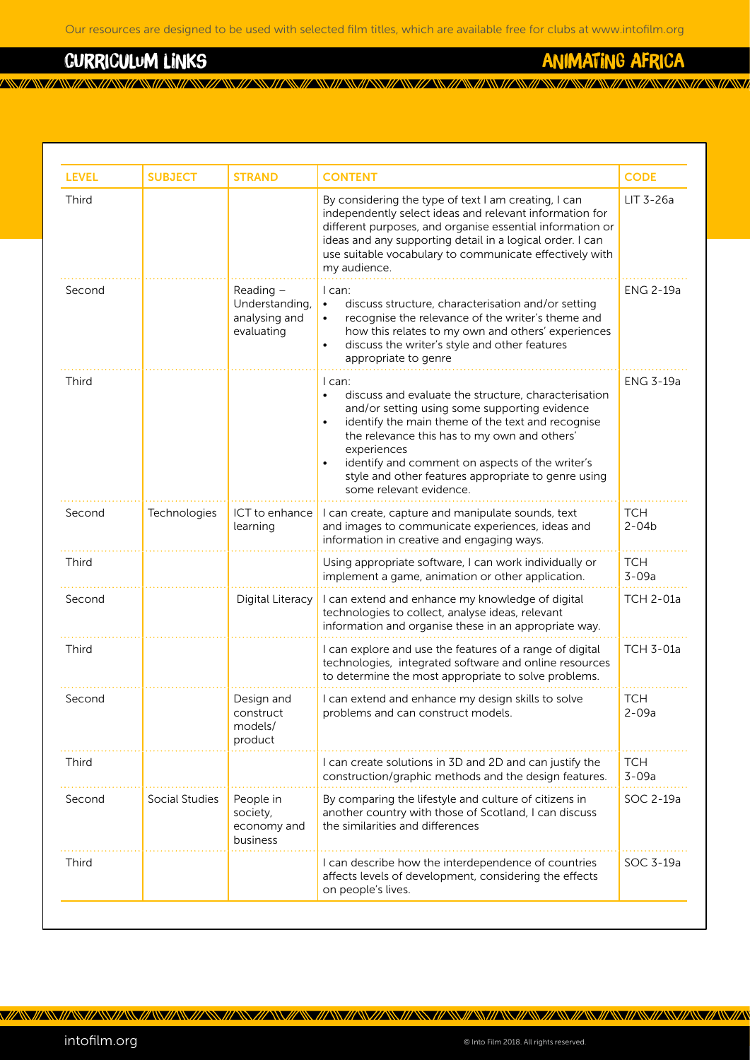### curriculum links

animating africa

| <b>LEVEL</b> | <b>SUBJECT</b> | <b>STRAND</b>                                              | <b>CONTENT</b>                                                                                                                                                                                                                                                                                                                                                                          | <b>CODE</b>             |
|--------------|----------------|------------------------------------------------------------|-----------------------------------------------------------------------------------------------------------------------------------------------------------------------------------------------------------------------------------------------------------------------------------------------------------------------------------------------------------------------------------------|-------------------------|
| Third        |                |                                                            | By considering the type of text I am creating, I can<br>independently select ideas and relevant information for<br>different purposes, and organise essential information or<br>ideas and any supporting detail in a logical order. I can<br>use suitable vocabulary to communicate effectively with<br>my audience.                                                                    | $LIT$ 3-26a             |
| Second       |                | Reading -<br>Understanding,<br>analysing and<br>evaluating | I can:<br>discuss structure, characterisation and/or setting<br>$\bullet$<br>recognise the relevance of the writer's theme and<br>$\bullet$<br>how this relates to my own and others' experiences<br>discuss the writer's style and other features<br>$\bullet$<br>appropriate to genre                                                                                                 | <b>ENG 2-19a</b>        |
| Third        |                |                                                            | $l$ can:<br>discuss and evaluate the structure, characterisation<br>and/or setting using some supporting evidence<br>identify the main theme of the text and recognise<br>$\bullet$<br>the relevance this has to my own and others'<br>experiences<br>identify and comment on aspects of the writer's<br>style and other features appropriate to genre using<br>some relevant evidence. | <b>ENG 3-19a</b>        |
| Second       | Technologies   | ICT to enhance<br>learning                                 | I can create, capture and manipulate sounds, text<br>and images to communicate experiences, ideas and<br>information in creative and engaging ways.                                                                                                                                                                                                                                     | <b>TCH</b><br>$2 - 04b$ |
| Third        |                |                                                            | Using appropriate software, I can work individually or<br>implement a game, animation or other application.                                                                                                                                                                                                                                                                             | <b>TCH</b><br>$3 - 09a$ |
| Second       |                | Digital Literacy                                           | I can extend and enhance my knowledge of digital<br>technologies to collect, analyse ideas, relevant<br>information and organise these in an appropriate way.                                                                                                                                                                                                                           | <b>TCH 2-01a</b>        |
| Third        |                |                                                            | I can explore and use the features of a range of digital<br>technologies, integrated software and online resources<br>to determine the most appropriate to solve problems.                                                                                                                                                                                                              | <b>TCH 3-01a</b>        |
| Second       |                | Design and<br>construct<br>models/<br>product              | I can extend and enhance my design skills to solve<br>problems and can construct models.                                                                                                                                                                                                                                                                                                | <b>TCH</b><br>$2 - 09a$ |
| Third        |                |                                                            | I can create solutions in 3D and 2D and can justify the<br>construction/graphic methods and the design features.                                                                                                                                                                                                                                                                        | <b>TCH</b><br>$3 - 09a$ |
| Second       | Social Studies | People in<br>society,<br>economy and<br>business           | By comparing the lifestyle and culture of citizens in<br>another country with those of Scotland, I can discuss<br>the similarities and differences                                                                                                                                                                                                                                      | SOC 2-19a               |
| Third        |                |                                                            | I can describe how the interdependence of countries<br>affects levels of development, considering the effects<br>on people's lives.                                                                                                                                                                                                                                                     | SOC 3-19a               |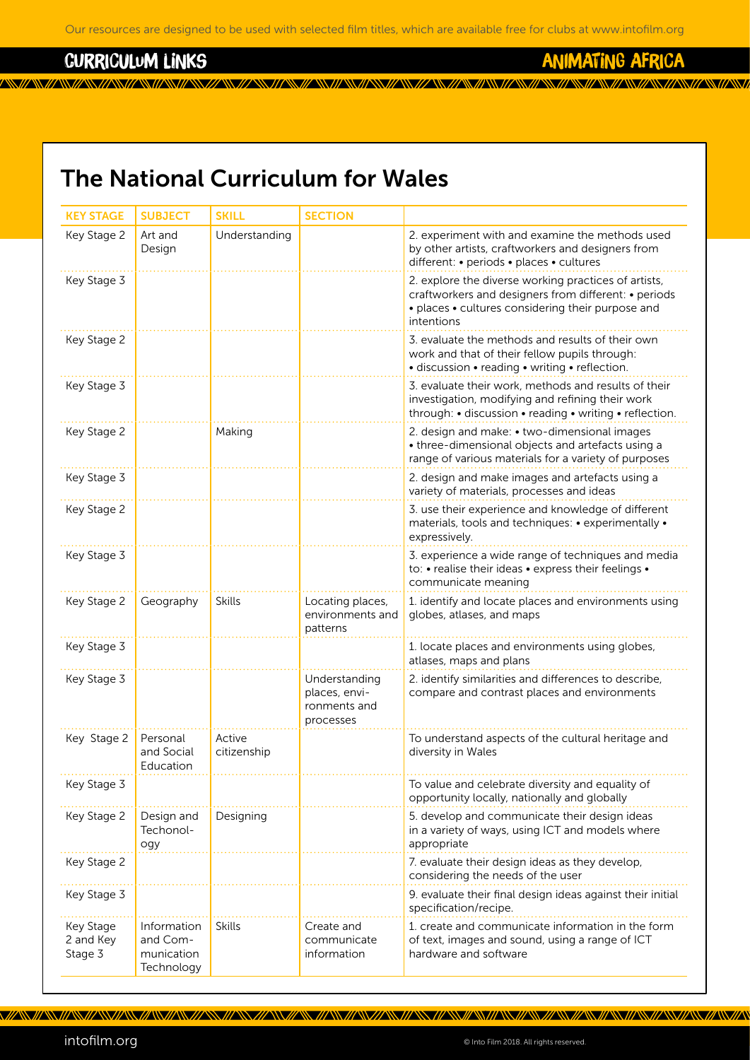<u>a kwa matu wa wakazi wa katika wa wakazi wa wakazi wa wakazi wa wakazi wa wakazi wa wakazi wa wakazi wa wakazi</u>

#### curriculum links

### animating africa

## The National Curriculum for Wales

| <b>KEY STAGE</b>                  | <b>SUBJECT</b>                                      | <b>SKILL</b>          | <b>SECTION</b>                                              |                                                                                                                                                                                 |
|-----------------------------------|-----------------------------------------------------|-----------------------|-------------------------------------------------------------|---------------------------------------------------------------------------------------------------------------------------------------------------------------------------------|
| Key Stage 2                       | Art and<br>Design                                   | Understanding         |                                                             | 2. experiment with and examine the methods used<br>by other artists, craftworkers and designers from<br>different: • periods • places • cultures                                |
| Key Stage 3                       |                                                     |                       |                                                             | 2. explore the diverse working practices of artists,<br>craftworkers and designers from different: • periods<br>• places • cultures considering their purpose and<br>intentions |
| Key Stage 2                       |                                                     |                       |                                                             | 3. evaluate the methods and results of their own<br>work and that of their fellow pupils through:<br>· discussion · reading · writing · reflection.                             |
| Key Stage 3                       |                                                     |                       |                                                             | 3. evaluate their work, methods and results of their<br>investigation, modifying and refining their work<br>through: • discussion • reading • writing • reflection.             |
| Key Stage 2                       |                                                     | Making                |                                                             | 2. design and make: • two-dimensional images<br>• three-dimensional objects and artefacts using a<br>range of various materials for a variety of purposes                       |
| Key Stage 3                       |                                                     |                       |                                                             | 2. design and make images and artefacts using a<br>variety of materials, processes and ideas                                                                                    |
| Key Stage 2                       |                                                     |                       |                                                             | 3. use their experience and knowledge of different<br>materials, tools and techniques: • experimentally •<br>expressively.                                                      |
| Key Stage 3                       |                                                     |                       |                                                             | 3. experience a wide range of techniques and media<br>to: • realise their ideas • express their feelings •<br>communicate meaning                                               |
| Key Stage 2                       | Geography                                           | <b>Skills</b>         | Locating places,<br>environments and<br>patterns            | 1. identify and locate places and environments using<br>globes, atlases, and maps                                                                                               |
| Key Stage 3                       |                                                     |                       |                                                             | 1. locate places and environments using globes,<br>atlases, maps and plans                                                                                                      |
| Key Stage 3                       |                                                     |                       | Understanding<br>places, envi-<br>ronments and<br>processes | 2. identify similarities and differences to describe,<br>compare and contrast places and environments                                                                           |
| Key Stage 2                       | Personal<br>and Social<br>Education                 | Active<br>citizenship |                                                             | To understand aspects of the cultural heritage and<br>diversity in Wales                                                                                                        |
| Key Stage 3                       |                                                     |                       |                                                             | To value and celebrate diversity and equality of<br>opportunity locally, nationally and globally                                                                                |
| Key Stage 2                       | Design and<br>Techonol-<br>ogy                      | Designing             |                                                             | 5. develop and communicate their design ideas<br>in a variety of ways, using ICT and models where<br>appropriate                                                                |
| Key Stage 2                       |                                                     |                       |                                                             | 7. evaluate their design ideas as they develop,<br>considering the needs of the user                                                                                            |
| Key Stage 3                       |                                                     |                       |                                                             | 9. evaluate their final design ideas against their initial<br>specification/recipe.                                                                                             |
| Key Stage<br>2 and Key<br>Stage 3 | Information<br>and Com-<br>munication<br>Technology | <b>Skills</b>         | Create and<br>communicate<br>information                    | 1. create and communicate information in the form<br>of text, images and sound, using a range of ICT<br>hardware and software                                                   |

intofilm.org